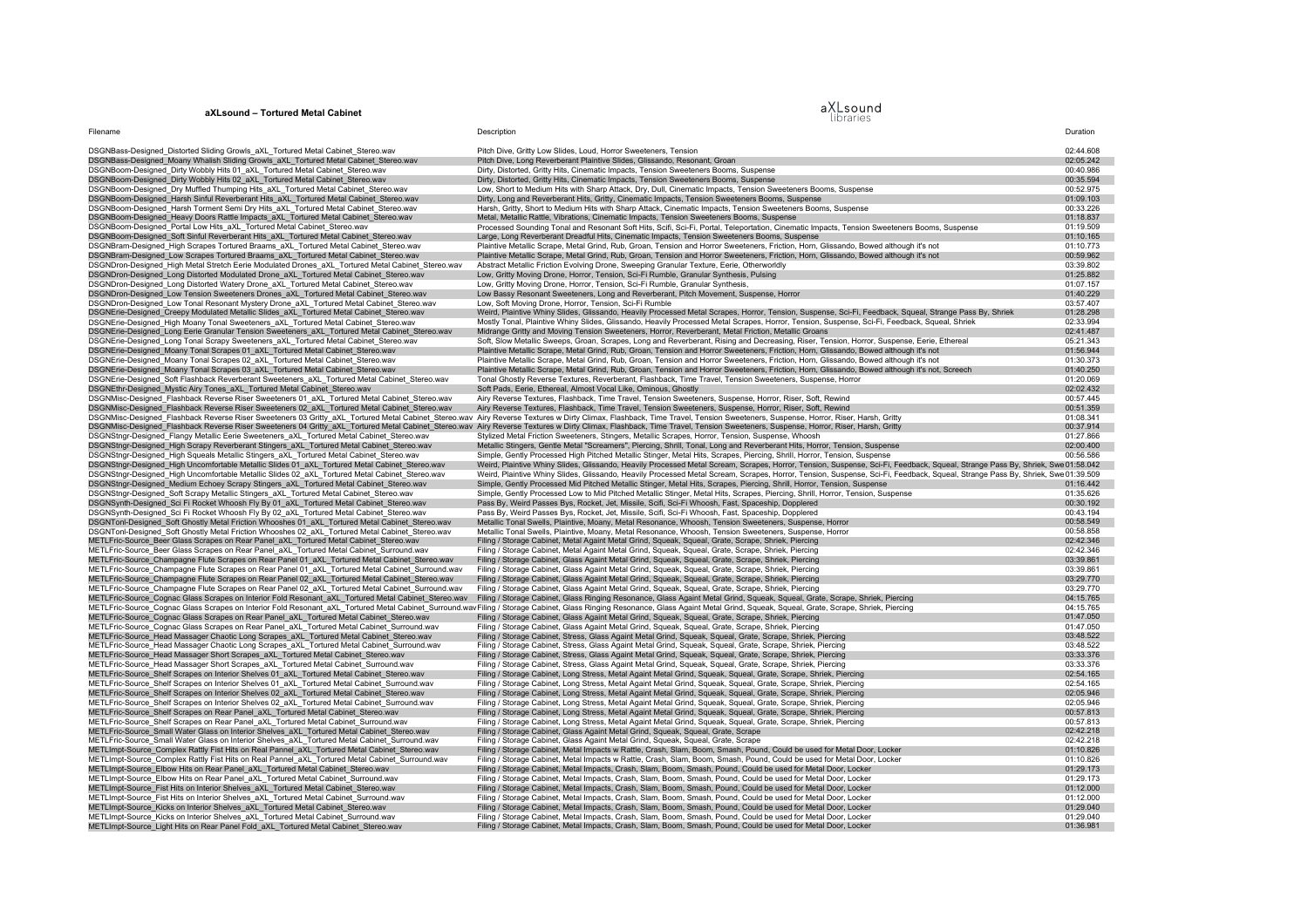## **aXLsound – Tortured Metal Cabinet**

## aXLsound<br>libraries

| Filename                                                                                                                                                                                           | Description                                                                                                                                                                                                                         | Duration               |
|----------------------------------------------------------------------------------------------------------------------------------------------------------------------------------------------------|-------------------------------------------------------------------------------------------------------------------------------------------------------------------------------------------------------------------------------------|------------------------|
| DSGNBass-Designed_Distorted Sliding Growls_aXL_Tortured Metal Cabinet_Stereo.wav                                                                                                                   | Pitch Dive, Gritty Low Slides, Loud, Horror Sweeteners, Tension                                                                                                                                                                     | 02:44.608              |
| DSGNBass-Designed_Moany Whalish Sliding Growls_aXL_Tortured Metal Cabinet_Stereo.wav                                                                                                               | Pitch Dive, Long Reverberant Plaintive Slides, Glissando, Resonant, Groan                                                                                                                                                           | 02:05.242              |
| DSGNBoom-Designed_Dirty Wobbly Hits 01_aXL_Tortured Metal Cabinet_Stereo.wav                                                                                                                       | Dirty, Distorted, Gritty Hits, Cinematic Impacts, Tension Sweeteners Booms, Suspense                                                                                                                                                | 00:40.986              |
| DSGNBoom-Designed_Dirty Wobbly Hits 02_aXL_Tortured Metal Cabinet_Stereo.wav                                                                                                                       | Dirty, Distorted, Gritty Hits, Cinematic Impacts, Tension Sweeteners Booms, Suspense                                                                                                                                                | 00:35.594              |
| DSGNBoom-Designed Dry Muffled Thumping Hits aXL Tortured Metal Cabinet Stereo.wav                                                                                                                  | Low, Short to Medium Hits with Sharp Attack, Dry, Dull, Cinematic Impacts, Tension Sweeteners Booms, Suspense                                                                                                                       | 00:52.975              |
| DSGNBoom-Designed Harsh Sinful Reverberant Hits aXL Tortured Metal Cabinet Stereo.wav<br>DSGNBoom-Designed Harsh Torment Semi Dry Hits aXL Tortured Metal Cabinet Stereo.wav                       | Dirty, Long and Reverberant Hits, Gritty, Cinematic Impacts, Tension Sweeteners Booms, Suspense<br>Harsh, Gritty, Short to Medium Hits with Sharp Attack, Cinematic Impacts, Tension Sweeteners Booms, Suspense                     | 01:09.103<br>00:33.226 |
| DSGNBoom-Designed Heavy Doors Rattle Impacts aXL Tortured Metal Cabinet Stereo.wav                                                                                                                 | Metal, Metallic Rattle, Vibrations, Cinematic Impacts, Tension Sweeteners Booms, Suspense                                                                                                                                           | 01:18.837              |
| DSGNBoom-Designed Portal Low Hits aXL Tortured Metal Cabinet Stereo.wav                                                                                                                            | Processed Sounding Tonal and Resonant Soft Hits, Scifi, Sci-Fi, Portal, Teleportation, Cinematic Impacts, Tension Sweeteners Booms, Suspense                                                                                        | 01:19.509              |
| DSGNBoom-Designed Soft Sinful Reverberant Hits aXL Tortured Metal Cabinet Stereo.wav                                                                                                               | Large, Long Reverberant Dreadful Hits, Cinematic Impacts, Tension Sweeteners Booms, Suspense                                                                                                                                        | 01:10.165              |
| DSGNBram-Designed_High Scrapes Tortured Braams_aXL_Tortured Metal Cabinet_Stereo.wav                                                                                                               | Plaintive Metallic Scrape, Metal Grind, Rub, Groan, Tension and Horror Sweeteners, Friction, Horn, Glissando, Bowed although it's not                                                                                               | 01:10.773              |
| DSGNBram-Designed_Low Scrapes Tortured Braams_aXL_Tortured Metal Cabinet_Stereo.wav                                                                                                                | Plaintive Metallic Scrape, Metal Grind, Rub, Groan, Tension and Horror Sweeteners, Friction, Horn, Glissando, Bowed although it's not                                                                                               | 00:59.962              |
| DSGNDron-Designed_High Metal Stretch Eerie Modulated Drones_aXL_Tortured Metal Cabinet_Stereo.wav                                                                                                  | Abstract Metallic Friction Evolving Drone, Sweeping Granular Texture, Eerie, Otherworldly                                                                                                                                           | 03:39.802              |
| DSGNDron-Designed_Long Distorted Modulated Drone_aXL_Tortured Metal Cabinet_Stereo.wav                                                                                                             | Low, Gritty Moving Drone, Horror, Tension, Sci-Fi Rumble, Granular Synthesis, Pulsing                                                                                                                                               | 01:25.882              |
| DSGNDron-Designed_Long Distorted Watery Drone_aXL_Tortured Metal Cabinet_Stereo.wav                                                                                                                | Low, Gritty Moving Drone, Horror, Tension, Sci-Fi Rumble, Granular Synthesis,                                                                                                                                                       | 01:07.157              |
| DSGNDron-Designed_Low Tension Sweeteners Drones_aXL_Tortured Metal Cabinet_Stereo.wav                                                                                                              | Low Bassy Resonant Sweeteners, Long and Reverberant, Pitch Movement, Suspense, Horror                                                                                                                                               | 01:40.229              |
| DSGNDron-Designed_Low Tonal Resonant Mystery Drone_aXL_Tortured Metal Cabinet_Stereo.wav<br>DSGNErie-Designed_Creepy Modulated Metallic Slides_aXL_Tortured Metal Cabinet_Stereo.wav               | Low, Soft Moving Drone, Horror, Tension, Sci-Fi Rumble<br>Weird, Plaintive Whiny Slides, Glissando, Heavily Processed Metal Scrapes, Horror, Tension, Suspense, Sci-Fi, Feedback, Squeal, Strange Pass By, Shriek                   | 03:57.407<br>01:28.298 |
| DSGNErie-Designed High Moany Tonal Sweeteners aXL Tortured Metal Cabinet Stereo.wav                                                                                                                | Mostly Tonal, Plaintive Whiny Slides, Glissando, Heavily Processed Metal Scrapes, Horror, Tension, Suspense, Sci-Fi, Feedback, Squeal, Shriek                                                                                       | 02:33.994              |
| DSGNErie-Designed Long Eerie Granular Tension Sweeteners aXL Tortured Metal Cabinet Stereo.wav                                                                                                     | Midrange Gritty and Moving Tension Sweeteners, Horror, Reverberant, Metal Friction, Metallic Groans                                                                                                                                 | 02:41.487              |
| DSGNErie-Designed Long Tonal Scrapy Sweeteners aXL Tortured Metal Cabinet Stereo.wav                                                                                                               | Soft, Slow Metallic Sweeps, Groan, Scrapes, Long and Reverberant, Rising and Decreasing, Riser, Tension, Horror, Suspense, Eerie, Ethereal                                                                                          | 05:21.343              |
| DSGNErie-Designed Moany Tonal Scrapes 01 aXL Tortured Metal Cabinet Stereo.way                                                                                                                     | Plaintive Metallic Scrape, Metal Grind, Rub, Groan, Tension and Horror Sweeteners, Friction, Horn, Glissando, Bowed although it's not                                                                                               | 01:56.944              |
| DSGNErie-Designed Moany Tonal Scrapes 02 aXL Tortured Metal Cabinet Stereo.wav                                                                                                                     | Plaintive Metallic Scrape, Metal Grind, Rub, Groan, Tension and Horror Sweeteners, Friction, Horn, Glissando, Bowed although it's not                                                                                               | 01:30.373              |
| DSGNErie-Designed_Moany Tonal Scrapes 03_aXL_Tortured Metal Cabinet_Stereo.wav                                                                                                                     | Plaintive Metallic Scrape, Metal Grind, Rub, Groan, Tension and Horror Sweeteners, Friction, Horn, Glissando, Bowed although it's not, Screech                                                                                      | 01:40.250              |
| DSGNErie-Designed Soft Flashback Reverberant Sweeteners aXL Tortured Metal Cabinet Stereo.wav                                                                                                      | Tonal Ghostly Reverse Textures, Reverberant, Flashback, Time Travel, Tension Sweeteners, Suspense, Horror                                                                                                                           | 01:20.069              |
| DSGNEthr-Designed Mystic Airy Tones aXL Tortured Metal Cabinet Stereo.wav                                                                                                                          | Soft Pads, Eerie, Ethereal, Almost Vocal Like, Ominous, Ghostly                                                                                                                                                                     | 02:02.432              |
| DSGNMisc-Designed Flashback Reverse Riser Sweeteners 01 aXL Tortured Metal Cabinet Stereo.wav<br>DSGNMisc-Designed Flashback Reverse Riser Sweeteners 02 aXL Tortured Metal Cabinet Stereo.wav     | Airy Reverse Textures, Flashback, Time Travel, Tension Sweeteners, Suspense, Horror, Riser, Soft, Rewind<br>Airy Reverse Textures, Flashback, Time Travel, Tension Sweeteners, Suspense, Horror, Riser, Soft, Rewind                | 00:57.445<br>00:51.359 |
|                                                                                                                                                                                                    | DSGNMisc-Designed_Flashback Reverse Riser Sweeteners 03 Gritty_aXL_Tortured Metal Cabinet_Stereo.wav Airy Reverse Textures w Dirty Climax, Flashback, Time Travel, Tension Sweeteners, Suspense, Horror, Riser, Harsh, Gritty       | 01:08.341              |
| DSGNMisc-Designed_Flashback Reverse Riser Sweeteners 04 Gritty_aXL_Tortured Metal Cabinet_Stereo.wa                                                                                                | Airy Reverse Textures w Dirty Climax, Flashback, Time Travel, Tension Sweeteners, Suspense, Horror, Riser, Harsh, Gritty                                                                                                            | 00:37.914              |
| DSGNStngr-Designed_Flangy Metallic Eerie Sweeteners_aXL_Tortured Metal Cabinet_Stereo.wav                                                                                                          | Stylized Metal Friction Sweeteners, Stingers, Metallic Scrapes, Horror, Tension, Suspense, Whoosh                                                                                                                                   | 01:27.866              |
| DSGNStngr-Designed_High Scrapy Reverberant Stingers_aXL_Tortured Metal Cabinet_Stereo.wav                                                                                                          | Metallic Stingers, Gentle Metal "Screamers", Piercing, Shrill, Tonal, Long and Reverberant Hits, Horror, Tension, Suspense                                                                                                          | 02:00.400              |
| DSGNStngr-Designed_High Squeals Metallic Stingers_aXL_Tortured Metal Cabinet_Stereo.wav                                                                                                            | Simple, Gently Processed High Pitched Metallic Stinger, Metal Hits, Scrapes, Piercing, Shrill, Horror, Tension, Suspense                                                                                                            | 00:56.586              |
| DSGNStngr-Designed High Uncomfortable Metallic Slides 01 aXL Tortured Metal Cabinet Stereo.wav                                                                                                     | Weird, Plaintive Whiny Slides, Glissando, Heavily Processed Metal Scream, Scrapes, Horror, Tension, Suspense, Sci-Fi, Feedback, Squeal, Strange Pass By, Shriek, Swel01:58.042                                                      |                        |
| DSGNStngr-Designed High Uncomfortable Metallic Slides 02 aXL Tortured Metal Cabinet Stereo.wav                                                                                                     | Weird, Plaintive Whiny Slides, Glissando, Heavily Processed Metal Scream, Scrapes, Horror, Tension, Suspense, Sci-Fi, Feedback, Squeal, Strange Pass By, Shriek, Swe01:39.509                                                       |                        |
| DSGNStngr-Designed_Medium Echoey Scrapy Stingers_aXL_Tortured Metal Cabinet_Stereo.wav                                                                                                             | Simple, Gently Processed Mid Pitched Metallic Stinger, Metal Hits, Scrapes, Piercing, Shrill, Horror, Tension, Suspense                                                                                                             | 01:16.442<br>01:35.626 |
| DSGNStngr-Designed_Soft Scrapy Metallic Stingers_aXL_Tortured Metal Cabinet_Stereo.wav<br>DSGNSynth-Designed Sci Fi Rocket Whoosh Fly By 01 aXL Tortured Metal Cabinet Stereo.wav                  | Simple, Gently Processed Low to Mid Pitched Metallic Stinger, Metal Hits, Scrapes, Piercing, Shrill, Horror, Tension, Suspense<br>Pass By, Weird Passes Bys, Rocket, Jet, Missile, Scifi, Sci-Fi Whoosh, Fast, Spaceship, Dopplered | 00:30.192              |
| DSGNSynth-Designed_Sci Fi Rocket Whoosh Fly By 02_aXL_Tortured Metal Cabinet_Stereo.wav                                                                                                            | Pass By, Weird Passes Bys, Rocket, Jet, Missile, Scifi, Sci-Fi Whoosh, Fast, Spaceship, Dopplered                                                                                                                                   | 00:43.194              |
| DSGNTonl-Designed Soft Ghostly Metal Friction Whooshes 01 aXL Tortured Metal Cabinet Stereo.wav                                                                                                    | Metallic Tonal Swells, Plaintive, Moany, Metal Resonance, Whoosh, Tension Sweeteners, Suspense, Horror                                                                                                                              | 00:58.549              |
| DSGNTonl-Designed Soft Ghostly Metal Friction Whooshes 02 aXL Tortured Metal Cabinet Stereo.wav                                                                                                    | Metallic Tonal Swells, Plaintive, Moany, Metal Resonance, Whoosh, Tension Sweeteners, Suspense, Horror                                                                                                                              | 00:58.858              |
| METLFric-Source_Beer Glass Scrapes on Rear Panel_aXL_Tortured Metal Cabinet_Stereo.wav                                                                                                             | Filing / Storage Cabinet, Metal Againt Metal Grind, Squeak, Squeal, Grate, Scrape, Shriek, Piercing                                                                                                                                 | 02:42.346              |
| METLFric-Source_Beer Glass Scrapes on Rear Panel_aXL_Tortured Metal Cabinet_Surround.wav                                                                                                           | Filing / Storage Cabinet, Metal Againt Metal Grind, Squeak, Squeal, Grate, Scrape, Shriek, Piercing                                                                                                                                 | 02:42.346              |
| METLFric-Source_Champagne Flute Scrapes on Rear Panel 01_aXL_Tortured Metal Cabinet_Stereo.wav                                                                                                     | Filing / Storage Cabinet, Glass Againt Metal Grind, Squeak, Squeal, Grate, Scrape, Shriek, Piercing                                                                                                                                 | 03:39.861              |
| METLFric-Source_Champagne Flute Scrapes on Rear Panel 01_aXL_Tortured Metal Cabinet_Surround.wav<br>METLFric-Source_Champagne Flute Scrapes on Rear Panel 02_aXL_Tortured Metal Cabinet_Stereo.wav | Filing / Storage Cabinet, Glass Againt Metal Grind, Squeak, Squeal, Grate, Scrape, Shriek, Piercing                                                                                                                                 | 03:39.861<br>03:29.770 |
| METLFric-Source Champagne Flute Scrapes on Rear Panel 02 aXL Tortured Metal Cabinet Surround.wav                                                                                                   | Filing / Storage Cabinet, Glass Againt Metal Grind, Squeak, Squeal, Grate, Scrape, Shriek, Piercing<br>Filing / Storage Cabinet, Glass Againt Metal Grind, Squeak, Squeal, Grate, Scrape, Shriek, Piercing                          | 03:29.770              |
| METLFric-Source_Cognac Glass Scrapes on Interior Fold Resonant_aXL_Tortured Metal Cabinet_Stereo.wav                                                                                               | Filing / Storage Cabinet, Glass Ringing Resonance, Glass Againt Metal Grind, Squeak, Squeal, Grate, Scrape, Shriek, Piercing                                                                                                        | 04:15.765              |
|                                                                                                                                                                                                    | METLFric-Source_Cognac Glass Scrapes on Interior Fold Resonant_aXL_Tortured Metal Cabinet_Surround.wavFiling / Storage Cabinet, Glass Ringing Resonance, Glass Againt Metal Grind, Squeak, Squeal, Grate, Scrape, Shriek, Pier      | 04:15.765              |
| METLFric-Source_Cognac Glass Scrapes on Rear Panel_aXL_Tortured Metal Cabinet_Stereo.wav                                                                                                           | Filing / Storage Cabinet, Glass Againt Metal Grind, Squeak, Squeal, Grate, Scrape, Shriek, Piercing                                                                                                                                 | 01:47.050              |
| METLFric-Source_Cognac Glass Scrapes on Rear Panel_aXL_Tortured Metal Cabinet_Surround.wav                                                                                                         | Filing / Storage Cabinet, Glass Againt Metal Grind, Squeak, Squeal, Grate, Scrape, Shriek, Piercing                                                                                                                                 | 01:47.050              |
| METLFric-Source Head Massager Chaotic Long Scrapes aXL Tortured Metal Cabinet Stereo.wav                                                                                                           | Filing / Storage Cabinet, Stress, Glass Againt Metal Grind, Squeak, Squeal, Grate, Scrape, Shriek, Piercing                                                                                                                         | 03:48.522              |
| METLFric-Source Head Massager Chaotic Long Scrapes aXL Tortured Metal Cabinet Surround.wav                                                                                                         | Filing / Storage Cabinet, Stress, Glass Againt Metal Grind, Squeak, Squeal, Grate, Scrape, Shriek, Piercing                                                                                                                         | 03:48.522              |
| METLFric-Source Head Massager Short Scrapes aXL Tortured Metal Cabinet Stereo.wav                                                                                                                  | Filing / Storage Cabinet, Stress, Glass Againt Metal Grind, Squeak, Squeal, Grate, Scrape, Shriek, Piercing                                                                                                                         | 03:33.376              |
| METLFric-Source Head Massager Short Scrapes aXL Tortured Metal Cabinet Surround.wav<br>METLFric-Source Shelf Scrapes on Interior Shelves 01_aXL_Tortured Metal Cabinet_Stereo.wav                  | Filing / Storage Cabinet, Stress, Glass Againt Metal Grind, Squeak, Squeal, Grate, Scrape, Shriek, Piercing<br>Filing / Storage Cabinet, Long Stress, Metal Againt Metal Grind, Squeak, Squeal, Grate, Scrape, Shriek, Piercing     | 03:33.376<br>02:54.165 |
| METLFric-Source Shelf Scrapes on Interior Shelves 01 aXL Tortured Metal Cabinet Surround.wav                                                                                                       | Filing / Storage Cabinet, Long Stress, Metal Againt Metal Grind, Squeak, Squeal, Grate, Scrape, Shriek, Piercing                                                                                                                    | 02:54.165              |
| METLFric-Source Shelf Scrapes on Interior Shelves 02 aXL Tortured Metal Cabinet Stereo.wav                                                                                                         | Filing / Storage Cabinet, Long Stress, Metal Againt Metal Grind, Squeak, Squeal, Grate, Scrape, Shriek, Piercing                                                                                                                    | 02:05.946              |
| METLFric-Source Shelf Scrapes on Interior Shelves 02 aXL Tortured Metal Cabinet Surround.wav                                                                                                       | Filing / Storage Cabinet, Long Stress, Metal Againt Metal Grind, Squeak, Squeal, Grate, Scrape, Shriek, Piercing                                                                                                                    | 02:05.946              |
| METLFric-Source_Shelf Scrapes on Rear Panel_aXL_Tortured Metal Cabinet_Stereo.wav                                                                                                                  | Filing / Storage Cabinet, Long Stress, Metal Againt Metal Grind, Squeak, Squeal, Grate, Scrape, Shriek, Piercing                                                                                                                    | 00:57.813              |
| METLFric-Source_Shelf Scrapes on Rear Panel_aXL_Tortured Metal Cabinet_Surround.wav                                                                                                                | Filing / Storage Cabinet, Long Stress, Metal Againt Metal Grind, Squeak, Squeal, Grate, Scrape, Shriek, Piercing                                                                                                                    | 00:57.813              |
| METLFric-Source_Small Water Glass on Interior Shelves_aXL_Tortured Metal Cabinet_Stereo.wav                                                                                                        | Filing / Storage Cabinet, Glass Againt Metal Grind, Squeak, Squeal, Grate, Scrape                                                                                                                                                   | 02:42.218              |
| METLFric-Source_Small Water Glass on Interior Shelves_aXL_Tortured Metal Cabinet_Surround.wav                                                                                                      | Filing / Storage Cabinet, Glass Againt Metal Grind, Squeak, Squeal, Grate, Scrape                                                                                                                                                   | 02:42.218              |
| METLImpt-Source_Complex Rattly Fist Hits on Real Pannel_aXL_Tortured Metal Cabinet_Stereo.wav                                                                                                      | Filing / Storage Cabinet, Metal Impacts w Rattle, Crash, Slam, Boom, Smash, Pound, Could be used for Metal Door, Locker                                                                                                             | 01:10.826              |
| METLImpt-Source_Complex Rattly Fist Hits on Real Pannel_aXL_Tortured Metal Cabinet_Surround.wav<br>METLImpt-Source_Elbow Hits on Rear Panel_aXL_Tortured Metal Cabinet_Stereo.wav                  | Filing / Storage Cabinet, Metal Impacts w Rattle, Crash, Slam, Boom, Smash, Pound, Could be used for Metal Door, Locker                                                                                                             | 01:10.826<br>01:29.173 |
| METLImpt-Source_Elbow Hits on Rear Panel_aXL_Tortured Metal Cabinet_Surround.wav                                                                                                                   | Filing / Storage Cabinet, Metal Impacts, Crash, Slam, Boom, Smash, Pound, Could be used for Metal Door, Locker<br>Filing / Storage Cabinet, Metal Impacts, Crash, Slam, Boom, Smash, Pound, Could be used for Metal Door, Locker    | 01:29.173              |
| METLImpt-Source Fist Hits on Interior Shelves aXL Tortured Metal Cabinet Stereo.wav                                                                                                                | Filing / Storage Cabinet, Metal Impacts, Crash, Slam, Boom, Smash, Pound, Could be used for Metal Door, Locker                                                                                                                      | 01:12.000              |
| METLImpt-Source Fist Hits on Interior Shelves aXL Tortured Metal Cabinet Surround.wav                                                                                                              | Filing / Storage Cabinet, Metal Impacts, Crash, Slam, Boom, Smash, Pound, Could be used for Metal Door, Locker                                                                                                                      | 01:12.000              |
| METLImpt-Source Kicks on Interior Shelves aXL Tortured Metal Cabinet Stereo.wav                                                                                                                    | Filing / Storage Cabinet, Metal Impacts, Crash, Slam, Boom, Smash, Pound, Could be used for Metal Door, Locker                                                                                                                      | 01:29.040              |
| METLImpt-Source Kicks on Interior Shelves aXL Tortured Metal Cabinet Surround.wav                                                                                                                  | Filing / Storage Cabinet, Metal Impacts, Crash, Slam, Boom, Smash, Pound, Could be used for Metal Door, Locker                                                                                                                      | 01:29.040              |
| METLImpt-Source Light Hits on Rear Panel Fold aXL Tortured Metal Cabinet Stereo.way                                                                                                                | Filing / Storage Cabinet, Metal Impacts, Crash, Slam, Boom, Smash, Pound, Could be used for Metal Door, Locker                                                                                                                      | 01:36.981              |